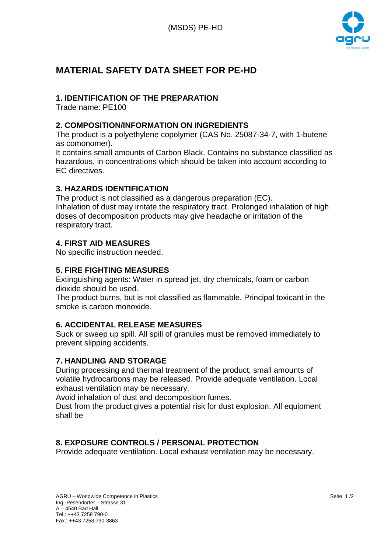

# **MATERIAL SAFETY DATA SHEET FOR PE-HD**

# **1. IDENTIFICATION OF THE PREPARATION**

Trade name: PE100

# **2. COMPOSITION/INFORMATION ON INGREDIENTS**

The product is a polyethylene copolymer (CAS No. 25087-34-7, with 1-butene as comonomer).

It contains small amounts of Carbon Black. Contains no substance classified as hazardous, in concentrations which should be taken into account according to EC directives.

# **3. HAZARDS IDENTIFICATION**

The product is not classified as a dangerous preparation (EC). Inhalation of dust may irritate the respiratory tract. Prolonged inhalation of high doses of decomposition products may give headache or irritation of the respiratory tract.

# **4. FIRST AID MEASURES**

No specific instruction needed.

# **5. FIRE FIGHTING MEASURES**

Extinguishing agents: Water in spread jet, dry chemicals, foam or carbon dioxide should be used.

The product burns, but is not classified as flammable. Principal toxicant in the smoke is carbon monoxide.

# **6. ACCIDENTAL RELEASE MEASURES**

Suck or sweep up spill. All spill of granules must be removed immediately to prevent slipping accidents.

# **7. HANDLING AND STORAGE**

During processing and thermal treatment of the product, small amounts of volatile hydrocarbons may be released. Provide adequate ventilation. Local exhaust ventilation may be necessary.

Avoid inhalation of dust and decomposition fumes.

Dust from the product gives a potential risk for dust explosion. All equipment shall be

# **8. EXPOSURE CONTROLS / PERSONAL PROTECTION**

Provide adequate ventilation. Local exhaust ventilation may be necessary.